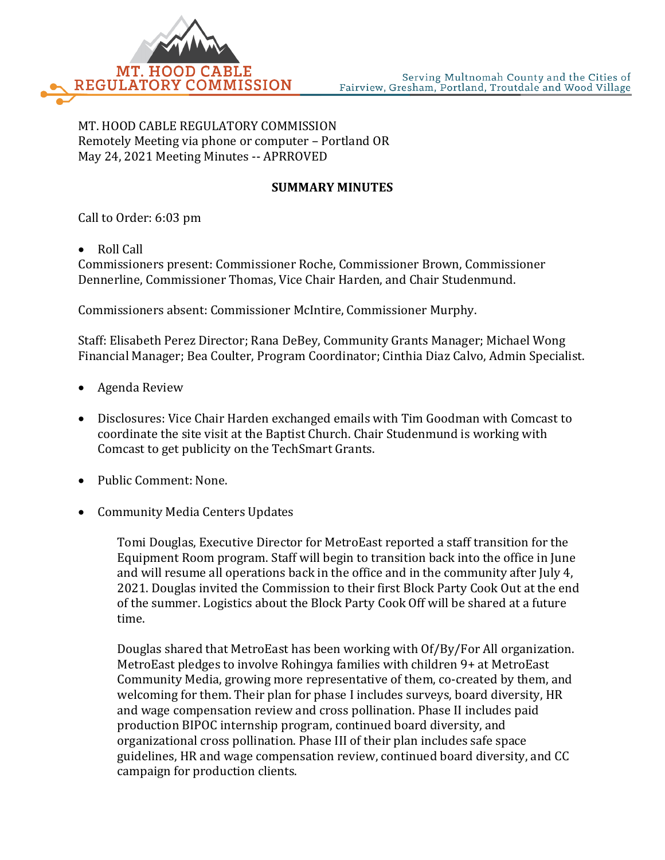

MT. HOOD CABLE REGULATORY COMMISSION Remotely Meeting via phone or computer – Portland OR May 24, 2021 Meeting Minutes -- APRROVED

## **SUMMARY MINUTES**

Call to Order: 6:03 pm

• Roll Call

Commissioners present: Commissioner Roche, Commissioner Brown, Commissioner Dennerline, Commissioner Thomas, Vice Chair Harden, and Chair Studenmund.

Commissioners absent: Commissioner McIntire, Commissioner Murphy.

Staff: Elisabeth Perez Director; Rana DeBey, Community Grants Manager; Michael Wong Financial Manager; Bea Coulter, Program Coordinator; Cinthia Diaz Calvo, Admin Specialist.

- Agenda Review
- Disclosures: Vice Chair Harden exchanged emails with Tim Goodman with Comcast to coordinate the site visit at the Baptist Church. Chair Studenmund is working with Comcast to get publicity on the TechSmart Grants.
- Public Comment: None.
- Community Media Centers Updates

Tomi Douglas, Executive Director for MetroEast reported a staff transition for the Equipment Room program. Staff will begin to transition back into the office in June and will resume all operations back in the office and in the community after July 4, 2021. Douglas invited the Commission to their first Block Party Cook Out at the end of the summer. Logistics about the Block Party Cook Off will be shared at a future time.

Douglas shared that MetroEast has been working with Of/By/For All organization. MetroEast pledges to involve Rohingya families with children 9+ at MetroEast Community Media, growing more representative of them, co-created by them, and welcoming for them. Their plan for phase I includes surveys, board diversity, HR and wage compensation review and cross pollination. Phase II includes paid production BIPOC internship program, continued board diversity, and organizational cross pollination. Phase III of their plan includes safe space guidelines, HR and wage compensation review, continued board diversity, and CC campaign for production clients.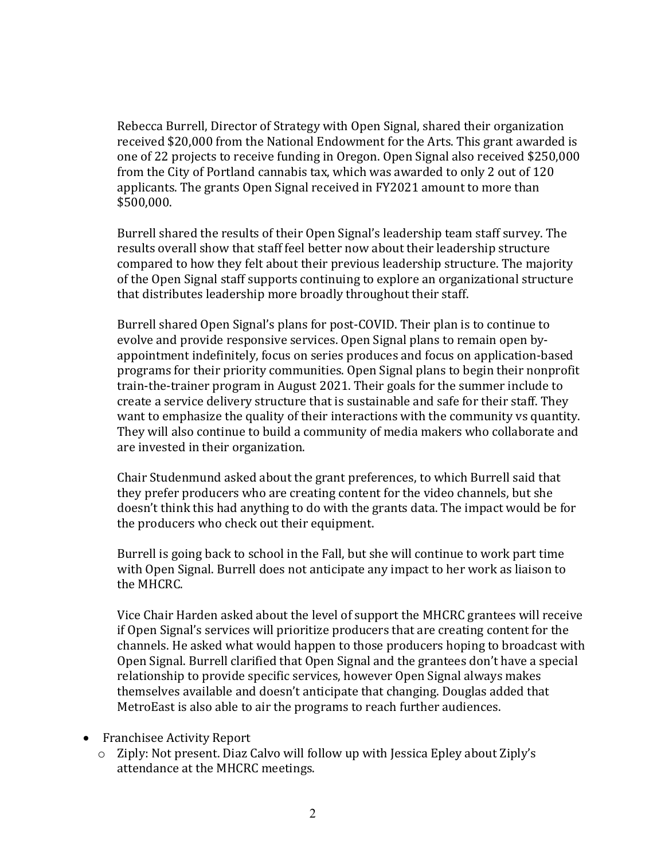Rebecca Burrell, Director of Strategy with Open Signal, shared their organization received \$20,000 from the National Endowment for the Arts. This grant awarded is one of 22 projects to receive funding in Oregon. Open Signal also received \$250,000 from the City of Portland cannabis tax, which was awarded to only 2 out of 120 applicants. The grants Open Signal received in FY2021 amount to more than \$500,000.

Burrell shared the results of their Open Signal's leadership team staff survey. The results overall show that staff feel better now about their leadership structure compared to how they felt about their previous leadership structure. The majority of the Open Signal staff supports continuing to explore an organizational structure that distributes leadership more broadly throughout their staff.

Burrell shared Open Signal's plans for post-COVID. Their plan is to continue to evolve and provide responsive services. Open Signal plans to remain open byappointment indefinitely, focus on series produces and focus on application-based programs for their priority communities. Open Signal plans to begin their nonprofit train-the-trainer program in August 2021. Their goals for the summer include to create a service delivery structure that is sustainable and safe for their staff. They want to emphasize the quality of their interactions with the community vs quantity. They will also continue to build a community of media makers who collaborate and are invested in their organization.

Chair Studenmund asked about the grant preferences, to which Burrell said that they prefer producers who are creating content for the video channels, but she doesn't think this had anything to do with the grants data. The impact would be for the producers who check out their equipment.

Burrell is going back to school in the Fall, but she will continue to work part time with Open Signal. Burrell does not anticipate any impact to her work as liaison to the MHCRC.

Vice Chair Harden asked about the level of support the MHCRC grantees will receive if Open Signal's services will prioritize producers that are creating content for the channels. He asked what would happen to those producers hoping to broadcast with Open Signal. Burrell clarified that Open Signal and the grantees don't have a special relationship to provide specific services, however Open Signal always makes themselves available and doesn't anticipate that changing. Douglas added that MetroEast is also able to air the programs to reach further audiences.

- Franchisee Activity Report
	- o Ziply: Not present. Diaz Calvo will follow up with Jessica Epley about Ziply's attendance at the MHCRC meetings.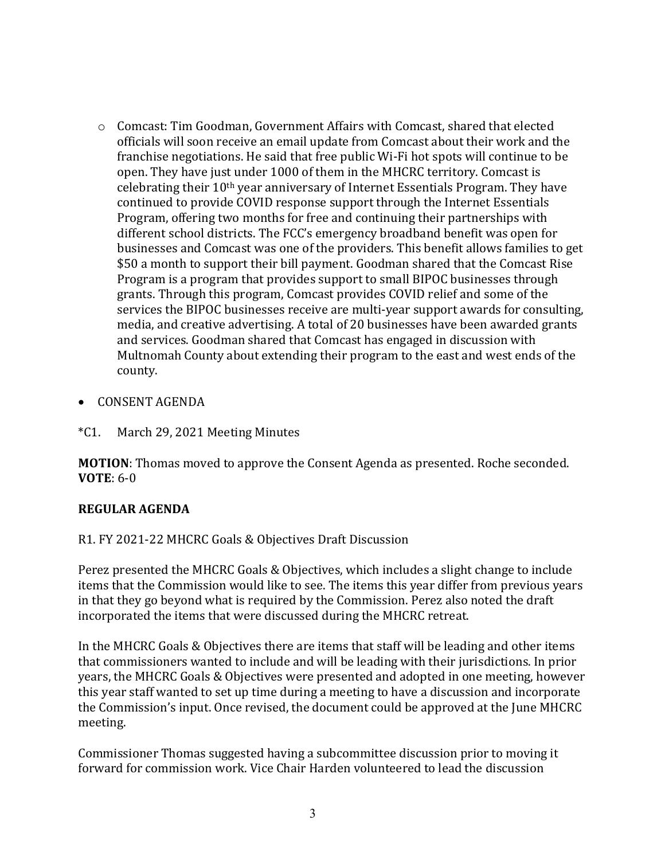- o Comcast: Tim Goodman, Government Affairs with Comcast, shared that elected officials will soon receive an email update from Comcast about their work and the franchise negotiations. He said that free public Wi-Fi hot spots will continue to be open. They have just under 1000 of them in the MHCRC territory. Comcast is celebrating their 10th year anniversary of Internet Essentials Program. They have continued to provide COVID response support through the Internet Essentials Program, offering two months for free and continuing their partnerships with different school districts. The FCC's emergency broadband benefit was open for businesses and Comcast was one of the providers. This benefit allows families to get \$50 a month to support their bill payment. Goodman shared that the Comcast Rise Program is a program that provides support to small BIPOC businesses through grants. Through this program, Comcast provides COVID relief and some of the services the BIPOC businesses receive are multi-year support awards for consulting, media, and creative advertising. A total of 20 businesses have been awarded grants and services. Goodman shared that Comcast has engaged in discussion with Multnomah County about extending their program to the east and west ends of the county.
- CONSENT AGENDA
- \*C1. March 29, 2021 Meeting Minutes

**MOTION**: Thomas moved to approve the Consent Agenda as presented. Roche seconded. **VOTE**: 6-0

## **REGULAR AGENDA**

R1. FY 2021-22 MHCRC Goals & Objectives Draft Discussion

Perez presented the MHCRC Goals & Objectives, which includes a slight change to include items that the Commission would like to see. The items this year differ from previous years in that they go beyond what is required by the Commission. Perez also noted the draft incorporated the items that were discussed during the MHCRC retreat.

In the MHCRC Goals & Objectives there are items that staff will be leading and other items that commissioners wanted to include and will be leading with their jurisdictions. In prior years, the MHCRC Goals & Objectives were presented and adopted in one meeting, however this year staff wanted to set up time during a meeting to have a discussion and incorporate the Commission's input. Once revised, the document could be approved at the June MHCRC meeting.

Commissioner Thomas suggested having a subcommittee discussion prior to moving it forward for commission work. Vice Chair Harden volunteered to lead the discussion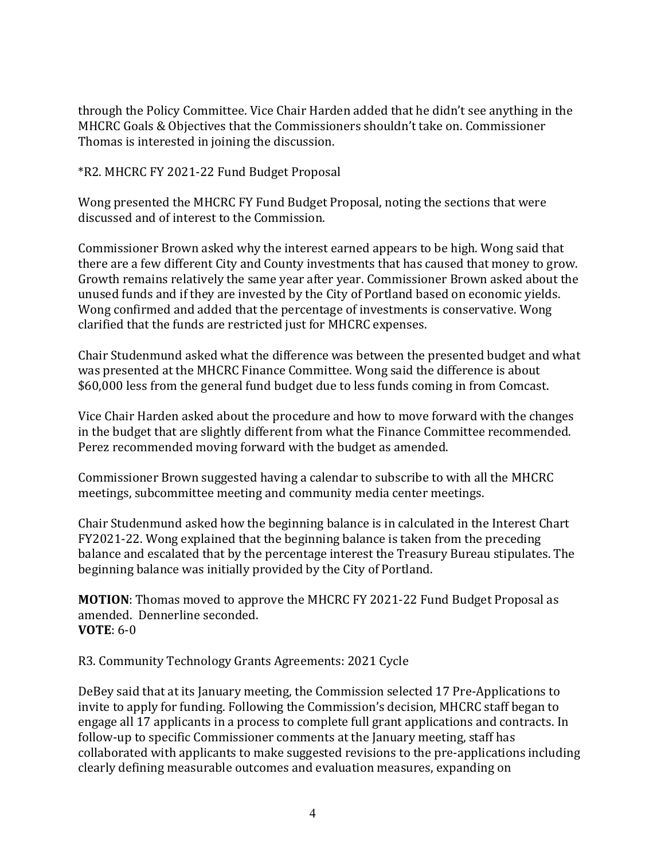through the Policy Committee. Vice Chair Harden added that he didn't see anything in the MHCRC Goals & Objectives that the Commissioners shouldn't take on. Commissioner Thomas is interested in joining the discussion.

\*R2. MHCRC FY 2021-22 Fund Budget Proposal

Wong presented the MHCRC FY Fund Budget Proposal, noting the sections that were discussed and of interest to the Commission.

Commissioner Brown asked why the interest earned appears to be high. Wong said that there are a few different City and County investments that has caused that money to grow. Growth remains relatively the same year after year. Commissioner Brown asked about the unused funds and if they are invested by the City of Portland based on economic yields. Wong confirmed and added that the percentage of investments is conservative. Wong clarified that the funds are restricted just for MHCRC expenses.

Chair Studenmund asked what the difference was between the presented budget and what was presented at the MHCRC Finance Committee. Wong said the difference is about \$60,000 less from the general fund budget due to less funds coming in from Comcast.

Vice Chair Harden asked about the procedure and how to move forward with the changes in the budget that are slightly different from what the Finance Committee recommended. Perez recommended moving forward with the budget as amended.

Commissioner Brown suggested having a calendar to subscribe to with all the MHCRC meetings, subcommittee meeting and community media center meetings.

Chair Studenmund asked how the beginning balance is in calculated in the Interest Chart FY2021-22. Wong explained that the beginning balance is taken from the preceding balance and escalated that by the percentage interest the Treasury Bureau stipulates. The beginning balance was initially provided by the City of Portland.

**MOTION**: Thomas moved to approve the MHCRC FY 2021-22 Fund Budget Proposal as amended. Dennerline seconded. **VOTE**: 6-0

R3. Community Technology Grants Agreements: 2021 Cycle

DeBey said that at its January meeting, the Commission selected 17 Pre-Applications to invite to apply for funding. Following the Commission's decision, MHCRC staff began to engage all 17 applicants in a process to complete full grant applications and contracts. In follow-up to specific Commissioner comments at the January meeting, staff has collaborated with applicants to make suggested revisions to the pre-applications including clearly defining measurable outcomes and evaluation measures, expanding on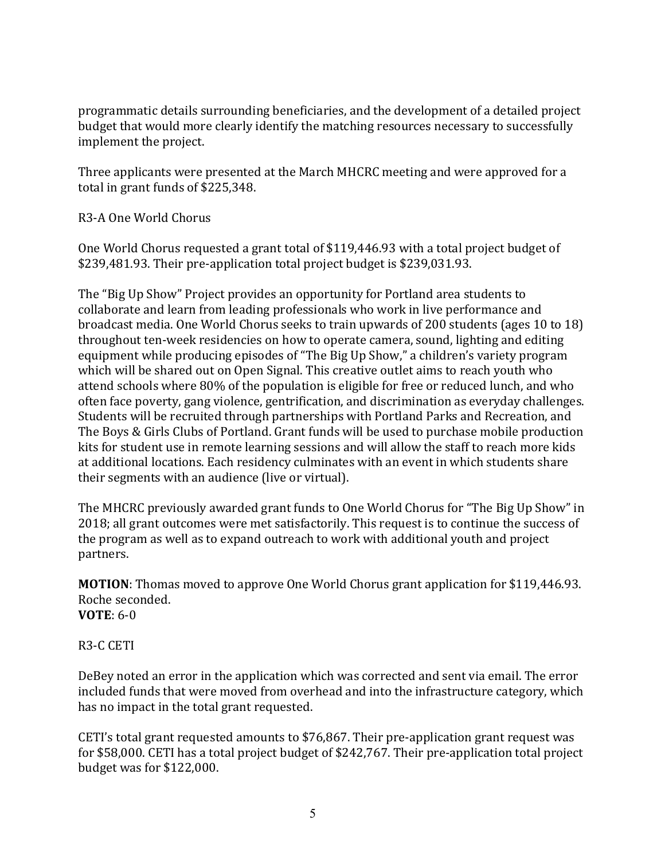programmatic details surrounding beneficiaries, and the development of a detailed project budget that would more clearly identify the matching resources necessary to successfully implement the project.

Three applicants were presented at the March MHCRC meeting and were approved for a total in grant funds of \$225,348.

# R3-A One World Chorus

One World Chorus requested a grant total of \$119,446.93 with a total project budget of \$239,481.93. Their pre-application total project budget is \$239,031.93.

The "Big Up Show" Project provides an opportunity for Portland area students to collaborate and learn from leading professionals who work in live performance and broadcast media. One World Chorus seeks to train upwards of 200 students (ages 10 to 18) throughout ten-week residencies on how to operate camera, sound, lighting and editing equipment while producing episodes of "The Big Up Show," a children's variety program which will be shared out on Open Signal. This creative outlet aims to reach youth who attend schools where 80% of the population is eligible for free or reduced lunch, and who often face poverty, gang violence, gentrification, and discrimination as everyday challenges. Students will be recruited through partnerships with Portland Parks and Recreation, and The Boys & Girls Clubs of Portland. Grant funds will be used to purchase mobile production kits for student use in remote learning sessions and will allow the staff to reach more kids at additional locations. Each residency culminates with an event in which students share their segments with an audience (live or virtual).

The MHCRC previously awarded grant funds to One World Chorus for "The Big Up Show" in 2018; all grant outcomes were met satisfactorily. This request is to continue the success of the program as well as to expand outreach to work with additional youth and project partners.

**MOTION**: Thomas moved to approve One World Chorus grant application for \$119,446.93. Roche seconded. **VOTE**: 6-0

R3-C CETI

DeBey noted an error in the application which was corrected and sent via email. The error included funds that were moved from overhead and into the infrastructure category, which has no impact in the total grant requested.

CETI's total grant requested amounts to \$76,867. Their pre-application grant request was for \$58,000. CETI has a total project budget of \$242,767. Their pre-application total project budget was for \$122,000.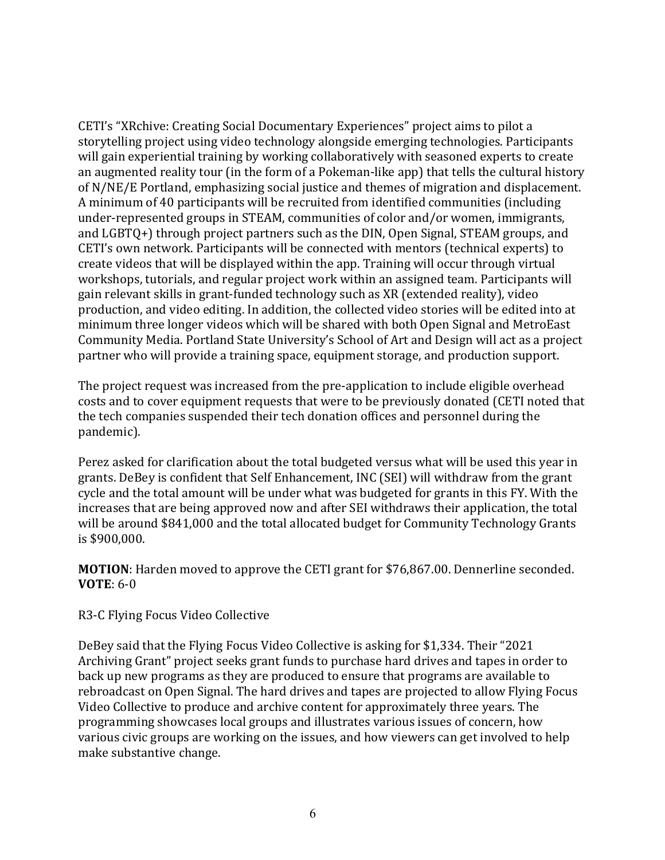CETI's "XRchive: Creating Social Documentary Experiences" project aims to pilot a storytelling project using video technology alongside emerging technologies. Participants will gain experiential training by working collaboratively with seasoned experts to create an augmented reality tour (in the form of a Pokeman-like app) that tells the cultural history of N/NE/E Portland, emphasizing social justice and themes of migration and displacement. A minimum of 40 participants will be recruited from identified communities (including under-represented groups in STEAM, communities of color and/or women, immigrants, and LGBTQ+) through project partners such as the DIN, Open Signal, STEAM groups, and CETI's own network. Participants will be connected with mentors (technical experts) to create videos that will be displayed within the app. Training will occur through virtual workshops, tutorials, and regular project work within an assigned team. Participants will gain relevant skills in grant-funded technology such as XR (extended reality), video production, and video editing. In addition, the collected video stories will be edited into at minimum three longer videos which will be shared with both Open Signal and MetroEast Community Media. Portland State University's School of Art and Design will act as a project partner who will provide a training space, equipment storage, and production support.

The project request was increased from the pre-application to include eligible overhead costs and to cover equipment requests that were to be previously donated (CETI noted that the tech companies suspended their tech donation offices and personnel during the pandemic).

Perez asked for clarification about the total budgeted versus what will be used this year in grants. DeBey is confident that Self Enhancement, INC (SEI) will withdraw from the grant cycle and the total amount will be under what was budgeted for grants in this FY. With the increases that are being approved now and after SEI withdraws their application, the total will be around \$841,000 and the total allocated budget for Community Technology Grants is \$900,000.

## **MOTION**: Harden moved to approve the CETI grant for \$76,867.00. Dennerline seconded. **VOTE**: 6-0

## R3-C Flying Focus Video Collective

DeBey said that the Flying Focus Video Collective is asking for \$1,334. Their "2021 Archiving Grant" project seeks grant funds to purchase hard drives and tapes in order to back up new programs as they are produced to ensure that programs are available to rebroadcast on Open Signal. The hard drives and tapes are projected to allow Flying Focus Video Collective to produce and archive content for approximately three years. The programming showcases local groups and illustrates various issues of concern, how various civic groups are working on the issues, and how viewers can get involved to help make substantive change.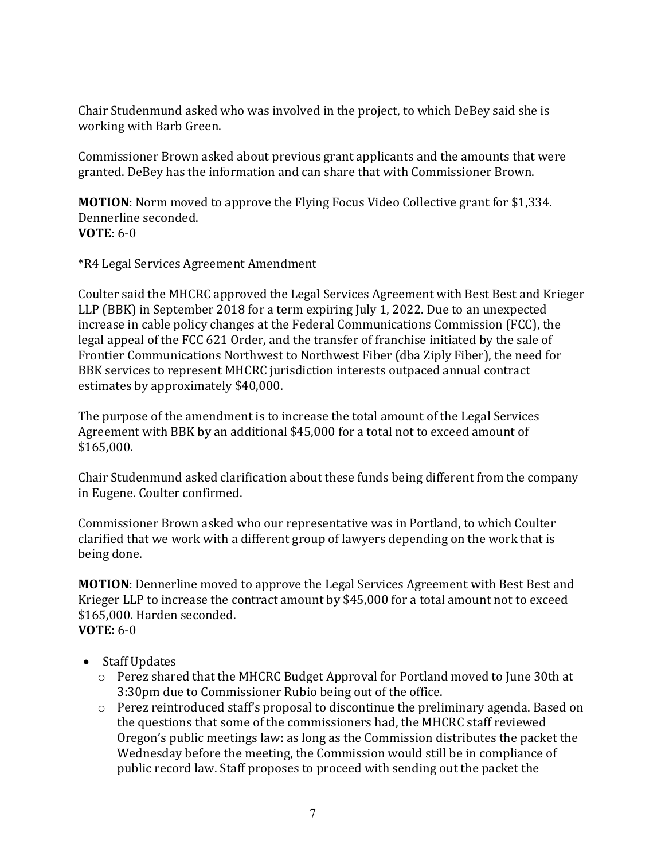Chair Studenmund asked who was involved in the project, to which DeBey said she is working with Barb Green.

Commissioner Brown asked about previous grant applicants and the amounts that were granted. DeBey has the information and can share that with Commissioner Brown.

**MOTION**: Norm moved to approve the Flying Focus Video Collective grant for \$1,334. Dennerline seconded. **VOTE**: 6-0

\*R4 Legal Services Agreement Amendment

Coulter said the MHCRC approved the Legal Services Agreement with Best Best and Krieger LLP (BBK) in September 2018 for a term expiring July 1, 2022. Due to an unexpected increase in cable policy changes at the Federal Communications Commission (FCC), the legal appeal of the FCC 621 Order, and the transfer of franchise initiated by the sale of Frontier Communications Northwest to Northwest Fiber (dba Ziply Fiber), the need for BBK services to represent MHCRC jurisdiction interests outpaced annual contract estimates by approximately \$40,000.

The purpose of the amendment is to increase the total amount of the Legal Services Agreement with BBK by an additional \$45,000 for a total not to exceed amount of \$165,000.

Chair Studenmund asked clarification about these funds being different from the company in Eugene. Coulter confirmed.

Commissioner Brown asked who our representative was in Portland, to which Coulter clarified that we work with a different group of lawyers depending on the work that is being done.

**MOTION**: Dennerline moved to approve the Legal Services Agreement with Best Best and Krieger LLP to increase the contract amount by \$45,000 for a total amount not to exceed \$165,000. Harden seconded. **VOTE**: 6-0

- Staff Updates
	- o Perez shared that the MHCRC Budget Approval for Portland moved to June 30th at 3:30pm due to Commissioner Rubio being out of the office.
	- o Perez reintroduced staff's proposal to discontinue the preliminary agenda. Based on the questions that some of the commissioners had, the MHCRC staff reviewed Oregon's public meetings law: as long as the Commission distributes the packet the Wednesday before the meeting, the Commission would still be in compliance of public record law. Staff proposes to proceed with sending out the packet the